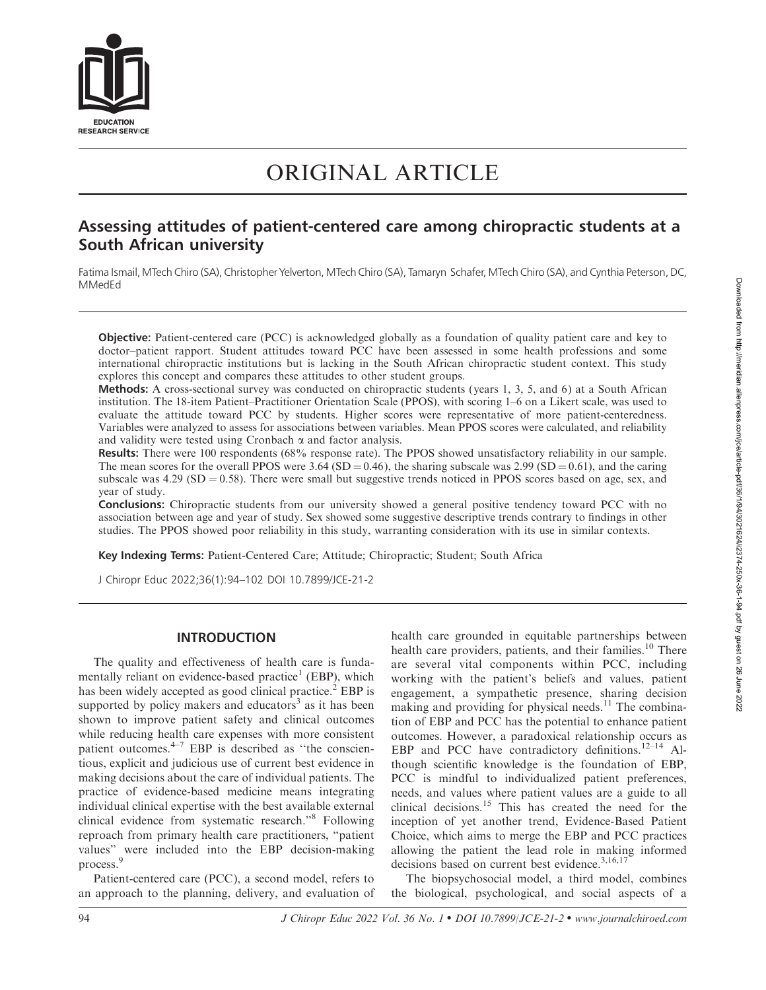

# ORIGINAL ARTICLE

# Assessing attitudes of patient-centered care among chiropractic students at a South African university

Fatima Ismail, MTech Chiro (SA), Christopher Yelverton, MTech Chiro (SA), Tamaryn Schafer, MTech Chiro (SA), and Cynthia Peterson, DC, MMedEd

Objective: Patient-centered care (PCC) is acknowledged globally as a foundation of quality patient care and key to doctor–patient rapport. Student attitudes toward PCC have been assessed in some health professions and some international chiropractic institutions but is lacking in the South African chiropractic student context. This study explores this concept and compares these attitudes to other student groups.

Methods: A cross-sectional survey was conducted on chiropractic students (years 1, 3, 5, and 6) at a South African institution. The 18-item Patient–Practitioner Orientation Scale (PPOS), with scoring 1–6 on a Likert scale, was used to evaluate the attitude toward PCC by students. Higher scores were representative of more patient-centeredness. Variables were analyzed to assess for associations between variables. Mean PPOS scores were calculated, and reliability and validity were tested using Cronbach  $\alpha$  and factor analysis.

Results: There were 100 respondents (68% response rate). The PPOS showed unsatisfactory reliability in our sample. The mean scores for the overall PPOS were 3.64 (SD = 0.46), the sharing subscale was 2.99 (SD = 0.61), and the caring subscale was  $4.29$  (SD = 0.58). There were small but suggestive trends noticed in PPOS scores based on age, sex, and year of study.

Conclusions: Chiropractic students from our university showed a general positive tendency toward PCC with no association between age and year of study. Sex showed some suggestive descriptive trends contrary to findings in other studies. The PPOS showed poor reliability in this study, warranting consideration with its use in similar contexts.

Key Indexing Terms: Patient-Centered Care; Attitude; Chiropractic; Student; South Africa

J Chiropr Educ 2022;36(1):94–102 DOI 10.7899/JCE-21-2

# INTRODUCTION

The quality and effectiveness of health care is fundamentally reliant on evidence-based practice<sup>1</sup> (EBP), which has been widely accepted as good clinical practice.<sup>2</sup> EBP is supported by policy makers and educators<sup>3</sup> as it has been shown to improve patient safety and clinical outcomes while reducing health care expenses with more consistent patient outcomes. $4-7$  EBP is described as "the conscientious, explicit and judicious use of current best evidence in making decisions about the care of individual patients. The practice of evidence-based medicine means integrating individual clinical expertise with the best available external clinical evidence from systematic research.''8 Following reproach from primary health care practitioners, ''patient values'' were included into the EBP decision-making process.<sup>9</sup>

Patient-centered care (PCC), a second model, refers to an approach to the planning, delivery, and evaluation of health care grounded in equitable partnerships between health care providers, patients, and their families.<sup>10</sup> There are several vital components within PCC, including working with the patient's beliefs and values, patient engagement, a sympathetic presence, sharing decision making and providing for physical needs.<sup>11</sup> The combination of EBP and PCC has the potential to enhance patient outcomes. However, a paradoxical relationship occurs as EBP and PCC have contradictory definitions.<sup>12–14</sup> Although scientific knowledge is the foundation of EBP, PCC is mindful to individualized patient preferences, needs, and values where patient values are a guide to all clinical decisions.<sup>15</sup> This has created the need for the inception of yet another trend, Evidence-Based Patient Choice, which aims to merge the EBP and PCC practices allowing the patient the lead role in making informed decisions based on current best evidence.<sup>3,16,17</sup>

The biopsychosocial model, a third model, combines the biological, psychological, and social aspects of a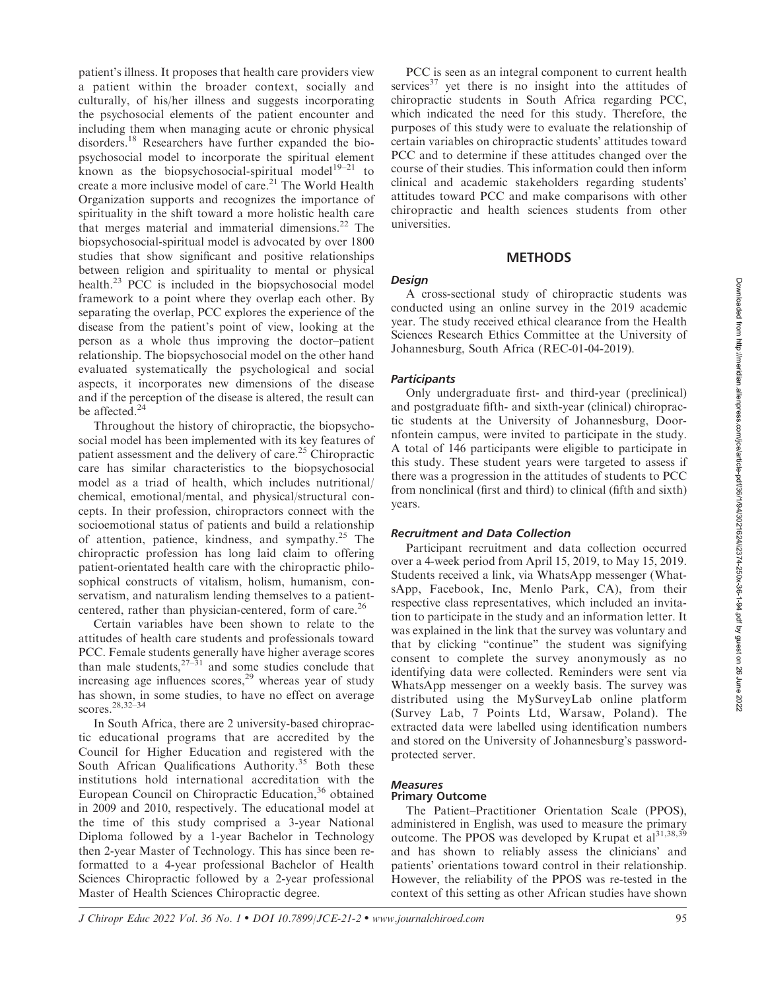patient's illness. It proposes that health care providers view a patient within the broader context, socially and culturally, of his/her illness and suggests incorporating the psychosocial elements of the patient encounter and including them when managing acute or chronic physical disorders.<sup>18</sup> Researchers have further expanded the biopsychosocial model to incorporate the spiritual element known as the biopsychosocial-spiritual model<sup>19-21</sup> to create a more inclusive model of care.<sup>21</sup> The World Health Organization supports and recognizes the importance of spirituality in the shift toward a more holistic health care that merges material and immaterial dimensions. $^{22}$  The biopsychosocial-spiritual model is advocated by over 1800 studies that show significant and positive relationships between religion and spirituality to mental or physical health.<sup>23</sup> PCC is included in the biopsychosocial model framework to a point where they overlap each other. By separating the overlap, PCC explores the experience of the disease from the patient's point of view, looking at the person as a whole thus improving the doctor–patient relationship. The biopsychosocial model on the other hand evaluated systematically the psychological and social aspects, it incorporates new dimensions of the disease and if the perception of the disease is altered, the result can be affected.<sup>24</sup>

Throughout the history of chiropractic, the biopsychosocial model has been implemented with its key features of patient assessment and the delivery of care.25 Chiropractic care has similar characteristics to the biopsychosocial model as a triad of health, which includes nutritional/ chemical, emotional/mental, and physical/structural concepts. In their profession, chiropractors connect with the socioemotional status of patients and build a relationship of attention, patience, kindness, and sympathy.<sup>25</sup> The chiropractic profession has long laid claim to offering patient-orientated health care with the chiropractic philosophical constructs of vitalism, holism, humanism, conservatism, and naturalism lending themselves to a patientcentered, rather than physician-centered, form of care.<sup>26</sup>

Certain variables have been shown to relate to the attitudes of health care students and professionals toward PCC. Female students generally have higher average scores than male students,  $27-31$  and some studies conclude that increasing age influences scores,<sup>29</sup> whereas year of study has shown, in some studies, to have no effect on average scores.28,32–34

In South Africa, there are 2 university-based chiropractic educational programs that are accredited by the Council for Higher Education and registered with the South African Qualifications Authority.<sup>35</sup> Both these institutions hold international accreditation with the European Council on Chiropractic Education,<sup>36</sup> obtained in 2009 and 2010, respectively. The educational model at the time of this study comprised a 3-year National Diploma followed by a 1-year Bachelor in Technology then 2-year Master of Technology. This has since been reformatted to a 4-year professional Bachelor of Health Sciences Chiropractic followed by a 2-year professional Master of Health Sciences Chiropractic degree.

PCC is seen as an integral component to current health services $37$  yet there is no insight into the attitudes of chiropractic students in South Africa regarding PCC, which indicated the need for this study. Therefore, the purposes of this study were to evaluate the relationship of certain variables on chiropractic students' attitudes toward PCC and to determine if these attitudes changed over the course of their studies. This information could then inform clinical and academic stakeholders regarding students' attitudes toward PCC and make comparisons with other chiropractic and health sciences students from other universities.

# **METHODS**

#### **Design**

A cross-sectional study of chiropractic students was conducted using an online survey in the 2019 academic year. The study received ethical clearance from the Health Sciences Research Ethics Committee at the University of Johannesburg, South Africa (REC-01-04-2019).

### **Participants**

Only undergraduate first- and third-year (preclinical) and postgraduate fifth- and sixth-year (clinical) chiropractic students at the University of Johannesburg, Doornfontein campus, were invited to participate in the study. A total of 146 participants were eligible to participate in this study. These student years were targeted to assess if there was a progression in the attitudes of students to PCC from nonclinical (first and third) to clinical (fifth and sixth) years.

#### Recruitment and Data Collection

Participant recruitment and data collection occurred over a 4-week period from April 15, 2019, to May 15, 2019. Students received a link, via WhatsApp messenger (WhatsApp, Facebook, Inc, Menlo Park, CA), from their respective class representatives, which included an invitation to participate in the study and an information letter. It was explained in the link that the survey was voluntary and that by clicking ''continue'' the student was signifying consent to complete the survey anonymously as no identifying data were collected. Reminders were sent via WhatsApp messenger on a weekly basis. The survey was distributed using the MySurveyLab online platform (Survey Lab, 7 Points Ltd, Warsaw, Poland). The extracted data were labelled using identification numbers and stored on the University of Johannesburg's passwordprotected server.

#### Measures Primary Outcome

The Patient–Practitioner Orientation Scale (PPOS),

administered in English, was used to measure the primary outcome. The PPOS was developed by Krupat et  $a1^{31,38,39}$ and has shown to reliably assess the clinicians' and patients' orientations toward control in their relationship. However, the reliability of the PPOS was re-tested in the context of this setting as other African studies have shown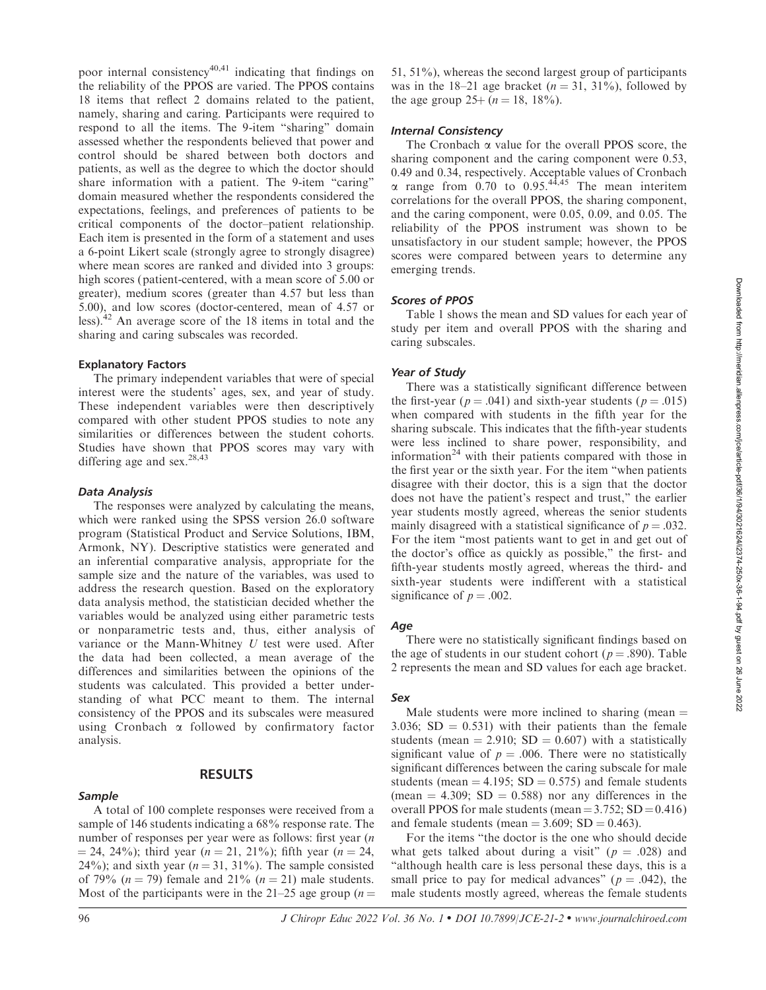poor internal consistency<sup>40,41</sup> indicating that findings on the reliability of the PPOS are varied. The PPOS contains 18 items that reflect 2 domains related to the patient, namely, sharing and caring. Participants were required to respond to all the items. The 9-item ''sharing'' domain assessed whether the respondents believed that power and control should be shared between both doctors and patients, as well as the degree to which the doctor should share information with a patient. The 9-item "caring" domain measured whether the respondents considered the expectations, feelings, and preferences of patients to be critical components of the doctor–patient relationship. Each item is presented in the form of a statement and uses a 6-point Likert scale (strongly agree to strongly disagree) where mean scores are ranked and divided into 3 groups: high scores (patient-centered, with a mean score of 5.00 or greater), medium scores (greater than 4.57 but less than 5.00), and low scores (doctor-centered, mean of 4.57 or less).<sup>42</sup> An average score of the 18 items in total and the sharing and caring subscales was recorded.

#### Explanatory Factors

The primary independent variables that were of special interest were the students' ages, sex, and year of study. These independent variables were then descriptively compared with other student PPOS studies to note any similarities or differences between the student cohorts. Studies have shown that PPOS scores may vary with differing age and sex.<sup>28,43</sup>

#### Data Analysis

The responses were analyzed by calculating the means, which were ranked using the SPSS version 26.0 software program (Statistical Product and Service Solutions, IBM, Armonk, NY). Descriptive statistics were generated and an inferential comparative analysis, appropriate for the sample size and the nature of the variables, was used to address the research question. Based on the exploratory data analysis method, the statistician decided whether the variables would be analyzed using either parametric tests or nonparametric tests and, thus, either analysis of variance or the Mann-Whitney U test were used. After the data had been collected, a mean average of the differences and similarities between the opinions of the students was calculated. This provided a better understanding of what PCC meant to them. The internal consistency of the PPOS and its subscales were measured using Cronbach  $\alpha$  followed by confirmatory factor analysis.

#### Sample

# RESULTS

A total of 100 complete responses were received from a sample of 146 students indicating a 68% response rate. The number of responses per year were as follows: first year (n  $=$  24, 24%); third year (n  $=$  21, 21%); fifth year (n  $=$  24, 24%); and sixth year ( $n = 31, 31%$ ). The sample consisted of 79% ( $n = 79$ ) female and 21% ( $n = 21$ ) male students. Most of the participants were in the 21–25 age group ( $n =$ 

51,  $51\%$ ), whereas the second largest group of participants was in the 18–21 age bracket ( $n = 31, 31\%$ ), followed by the age group  $25+(n = 18, 18\%)$ .

#### Internal Consistency

The Cronbach  $\alpha$  value for the overall PPOS score, the sharing component and the caring component were 0.53, 0.49 and 0.34, respectively. Acceptable values of Cronbach  $\alpha$  range from 0.70 to 0.95.<sup>44,45</sup> The mean interitem correlations for the overall PPOS, the sharing component, and the caring component, were 0.05, 0.09, and 0.05. The reliability of the PPOS instrument was shown to be unsatisfactory in our student sample; however, the PPOS scores were compared between years to determine any emerging trends.

#### Scores of PPOS

Table 1 shows the mean and SD values for each year of study per item and overall PPOS with the sharing and caring subscales.

#### Year of Study

There was a statistically significant difference between the first-year ( $p = .041$ ) and sixth-year students ( $p = .015$ ) when compared with students in the fifth year for the sharing subscale. This indicates that the fifth-year students were less inclined to share power, responsibility, and information $24$  with their patients compared with those in the first year or the sixth year. For the item ''when patients disagree with their doctor, this is a sign that the doctor does not have the patient's respect and trust,'' the earlier year students mostly agreed, whereas the senior students mainly disagreed with a statistical significance of  $p = .032$ . For the item ''most patients want to get in and get out of the doctor's office as quickly as possible,'' the first- and fifth-year students mostly agreed, whereas the third- and sixth-year students were indifferent with a statistical significance of  $p = .002$ .

#### Age

There were no statistically significant findings based on the age of students in our student cohort ( $p = .890$ ). Table 2 represents the mean and SD values for each age bracket.

#### Sex

Male students were more inclined to sharing (mean  $=$ 3.036;  $SD = 0.531$ ) with their patients than the female students (mean = 2.910; SD = 0.607) with a statistically significant value of  $p = .006$ . There were no statistically significant differences between the caring subscale for male students (mean  $=$  4.195; SD  $=$  0.575) and female students (mean  $= 4.309$ ; SD  $= 0.588$ ) nor any differences in the overall PPOS for male students (mean =  $3.752$ ; SD =  $0.416$ ) and female students (mean  $= 3.609$ ; SD  $= 0.463$ ).

For the items ''the doctor is the one who should decide what gets talked about during a visit" ( $p = .028$ ) and ''although health care is less personal these days, this is a small price to pay for medical advances" ( $p = .042$ ), the male students mostly agreed, whereas the female students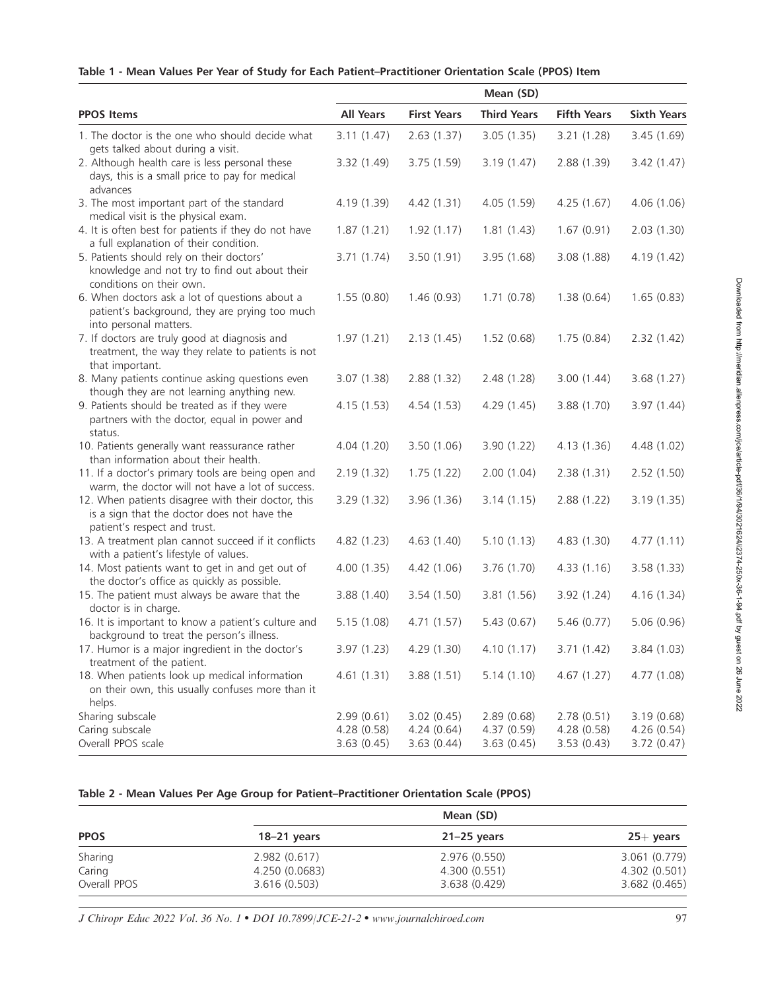|  |  |  |  |  |  |  |  |  | Table 1 - Mean Values Per Year of Study for Each Patient–Practitioner Orientation Scale (PPOS) Item |  |  |  |  |
|--|--|--|--|--|--|--|--|--|-----------------------------------------------------------------------------------------------------|--|--|--|--|
|--|--|--|--|--|--|--|--|--|-----------------------------------------------------------------------------------------------------|--|--|--|--|

|                                                                                                                                   |                                        |                                        | Mean (SD)                               |                                         |                                         |
|-----------------------------------------------------------------------------------------------------------------------------------|----------------------------------------|----------------------------------------|-----------------------------------------|-----------------------------------------|-----------------------------------------|
| <b>PPOS Items</b>                                                                                                                 | <b>All Years</b>                       | <b>First Years</b>                     | <b>Third Years</b>                      | <b>Fifth Years</b>                      | <b>Sixth Years</b>                      |
| 1. The doctor is the one who should decide what<br>gets talked about during a visit.                                              | 3.11(1.47)                             | 2.63(1.37)                             | 3.05(1.35)                              | 3.21 (1.28)                             | 3.45(1.69)                              |
| 2. Although health care is less personal these<br>days, this is a small price to pay for medical<br>advances                      | 3.32 (1.49)                            | 3.75(1.59)                             | 3.19(1.47)                              | 2.88 (1.39)                             | 3.42(1.47)                              |
| 3. The most important part of the standard<br>medical visit is the physical exam.                                                 | 4.19 (1.39)                            | 4.42(1.31)                             | 4.05 (1.59)                             | 4.25(1.67)                              | 4.06(1.06)                              |
| 4. It is often best for patients if they do not have<br>a full explanation of their condition.                                    | 1.87(1.21)                             | 1.92(1.17)                             | 1.81(1.43)                              | 1.67(0.91)                              | 2.03(1.30)                              |
| 5. Patients should rely on their doctors'<br>knowledge and not try to find out about their<br>conditions on their own.            | 3.71(1.74)                             | 3.50 (1.91)                            | 3.95(1.68)                              | 3.08(1.88)                              | 4.19 (1.42)                             |
| 6. When doctors ask a lot of questions about a<br>patient's background, they are prying too much<br>into personal matters.        | 1.55(0.80)                             | 1.46(0.93)                             | 1.71(0.78)                              | 1.38(0.64)                              | 1.65(0.83)                              |
| 7. If doctors are truly good at diagnosis and<br>treatment, the way they relate to patients is not<br>that important.             | 1.97(1.21)                             | 2.13(1.45)                             | 1.52(0.68)                              | 1.75(0.84)                              | 2.32(1.42)                              |
| 8. Many patients continue asking questions even<br>though they are not learning anything new.                                     | 3.07(1.38)                             | 2.88(1.32)                             | 2.48 (1.28)                             | 3.00(1.44)                              | 3.68(1.27)                              |
| 9. Patients should be treated as if they were<br>partners with the doctor, equal in power and<br>status.                          | 4.15(1.53)                             | 4.54(1.53)                             | 4.29 (1.45)                             | 3.88 (1.70)                             | 3.97(1.44)                              |
| 10. Patients generally want reassurance rather<br>than information about their health.                                            | 4.04(1.20)                             | 3.50(1.06)                             | 3.90 (1.22)                             | 4.13(1.36)                              | 4.48 (1.02)                             |
| 11. If a doctor's primary tools are being open and<br>warm, the doctor will not have a lot of success.                            | 2.19(1.32)                             | 1.75(1.22)                             | 2.00(1.04)                              | 2.38(1.31)                              | 2.52(1.50)                              |
| 12. When patients disagree with their doctor, this<br>is a sign that the doctor does not have the<br>patient's respect and trust. | 3.29 (1.32)                            | 3.96(1.36)                             | 3.14(1.15)                              | 2.88 (1.22)                             | 3.19(1.35)                              |
| 13. A treatment plan cannot succeed if it conflicts<br>with a patient's lifestyle of values.                                      | 4.82 (1.23)                            | 4.63 (1.40)                            | 5.10(1.13)                              | 4.83(1.30)                              | 4.77(1.11)                              |
| 14. Most patients want to get in and get out of<br>the doctor's office as quickly as possible.                                    | 4.00 (1.35)                            | 4.42 (1.06)                            | 3.76 (1.70)                             | 4.33 (1.16)                             | 3.58(1.33)                              |
| 15. The patient must always be aware that the<br>doctor is in charge.                                                             | 3.88 (1.40)                            | 3.54 (1.50)                            | 3.81(1.56)                              | 3.92(1.24)                              | 4.16 (1.34)                             |
| 16. It is important to know a patient's culture and<br>background to treat the person's illness.                                  | 5.15(1.08)                             | 4.71 (1.57)                            | 5.43(0.67)                              | 5.46(0.77)                              | 5.06(0.96)                              |
| 17. Humor is a major ingredient in the doctor's<br>treatment of the patient.                                                      |                                        | 3.97 (1.23) 4.29 (1.30)                | 4.10 (1.17)                             | 3.71 (1.42)                             | 3.84 (1.03)                             |
| 18. When patients look up medical information<br>on their own, this usually confuses more than it<br>helps.                       | 4.61(1.31)                             | 3.88(1.51)                             | 5.14(1.10)                              | 4.67(1.27)                              | 4.77 (1.08)                             |
| Sharing subscale<br>Caring subscale<br>Overall PPOS scale                                                                         | 2.99(0.61)<br>4.28(0.58)<br>3.63(0.45) | 3.02(0.45)<br>4.24(0.64)<br>3.63(0.44) | 2.89(0.68)<br>4.37 (0.59)<br>3.63(0.45) | 2.78(0.51)<br>4.28 (0.58)<br>3.53(0.43) | 3.19(0.68)<br>4.26(0.54)<br>3.72 (0.47) |

# Table 2 - Mean Values Per Age Group for Patient–Practitioner Orientation Scale (PPOS)

|              |                | Mean (SD)     |               |  |  |
|--------------|----------------|---------------|---------------|--|--|
| <b>PPOS</b>  | $18-21$ years  | $21-25$ years | $25+$ years   |  |  |
| Sharing      | 2.982(0.617)   | 2.976 (0.550) | 3.061 (0.779) |  |  |
| Caring       | 4.250 (0.0683) | 4.300 (0.551) | 4.302 (0.501) |  |  |
| Overall PPOS | 3.616(0.503)   | 3.638 (0.429) | 3.682(0.465)  |  |  |

J Chiropr Educ 2022 Vol. 36 No. 1 • DOI 10.7899/JCE-21-2 • www.journalchiroed.com 97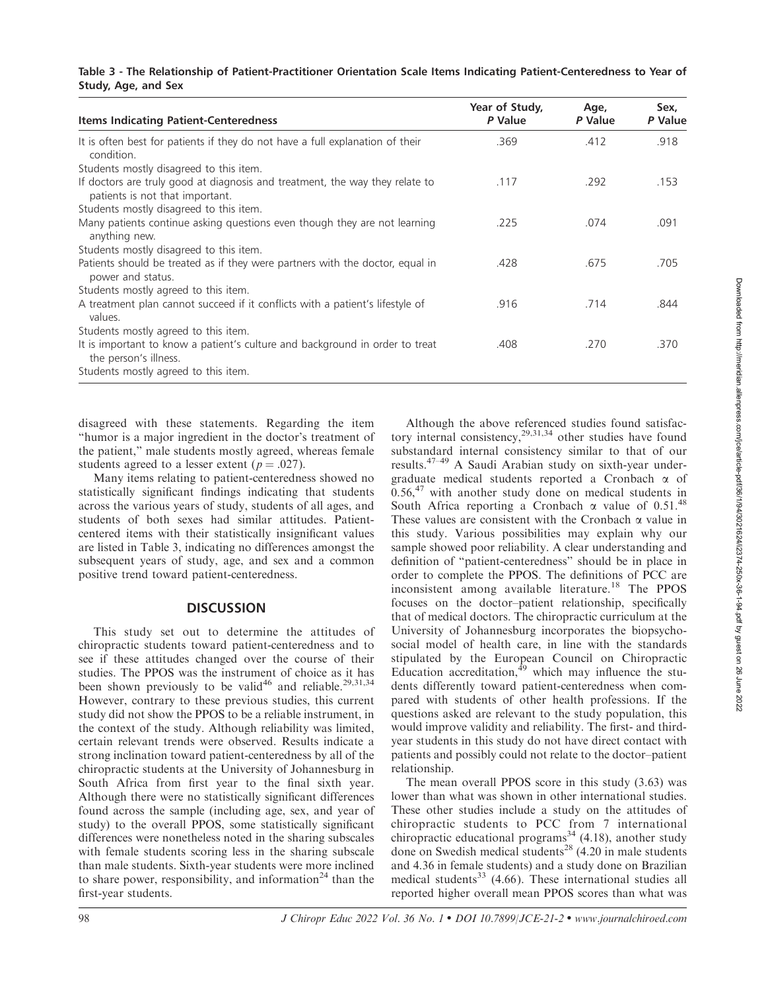#### Table 3 - The Relationship of Patient-Practitioner Orientation Scale Items Indicating Patient-Centeredness to Year of Study, Age, and Sex

| <b>Items Indicating Patient-Centeredness</b>                                                                    | Year of Study,<br>P Value | Age,<br>P Value | Sex,<br>P Value |
|-----------------------------------------------------------------------------------------------------------------|---------------------------|-----------------|-----------------|
| It is often best for patients if they do not have a full explanation of their<br>condition.                     | .369                      | .412            | .918            |
| Students mostly disagreed to this item.                                                                         |                           |                 |                 |
| If doctors are truly good at diagnosis and treatment, the way they relate to<br>patients is not that important. | .117                      | .292            | .153            |
| Students mostly disagreed to this item.                                                                         |                           |                 |                 |
| Many patients continue asking questions even though they are not learning<br>anything new.                      | .225                      | .074            | .091            |
| Students mostly disagreed to this item.                                                                         |                           |                 |                 |
| Patients should be treated as if they were partners with the doctor, equal in<br>power and status.              | .428                      | .675            | .705            |
| Students mostly agreed to this item.                                                                            |                           |                 |                 |
| A treatment plan cannot succeed if it conflicts with a patient's lifestyle of<br>values.                        | .916                      | .714            | .844            |
| Students mostly agreed to this item.                                                                            |                           |                 |                 |
| It is important to know a patient's culture and background in order to treat<br>the person's illness.           | .408                      | .270            | .370            |
| Students mostly agreed to this item.                                                                            |                           |                 |                 |

disagreed with these statements. Regarding the item ''humor is a major ingredient in the doctor's treatment of the patient,'' male students mostly agreed, whereas female students agreed to a lesser extent ( $p = .027$ ).

Many items relating to patient-centeredness showed no statistically significant findings indicating that students across the various years of study, students of all ages, and students of both sexes had similar attitudes. Patientcentered items with their statistically insignificant values are listed in Table 3, indicating no differences amongst the subsequent years of study, age, and sex and a common positive trend toward patient-centeredness.

# **DISCUSSION**

This study set out to determine the attitudes of chiropractic students toward patient-centeredness and to see if these attitudes changed over the course of their studies. The PPOS was the instrument of choice as it has been shown previously to be valid<sup>46</sup> and reliable.<sup>29,31,34</sup> However, contrary to these previous studies, this current study did not show the PPOS to be a reliable instrument, in the context of the study. Although reliability was limited, certain relevant trends were observed. Results indicate a strong inclination toward patient-centeredness by all of the chiropractic students at the University of Johannesburg in South Africa from first year to the final sixth year. Although there were no statistically significant differences found across the sample (including age, sex, and year of study) to the overall PPOS, some statistically significant differences were nonetheless noted in the sharing subscales with female students scoring less in the sharing subscale than male students. Sixth-year students were more inclined to share power, responsibility, and information<sup>24</sup> than the first-year students.

Although the above referenced studies found satisfactory internal consistency,  $29,31,34$  other studies have found substandard internal consistency similar to that of our results.47–49 A Saudi Arabian study on sixth-year undergraduate medical students reported a Cronbach a of  $0.56<sup>47</sup>$  with another study done on medical students in South Africa reporting a Cronbach  $\alpha$  value of 0.51.<sup>48</sup> These values are consistent with the Cronbach  $\alpha$  value in this study. Various possibilities may explain why our sample showed poor reliability. A clear understanding and definition of ''patient-centeredness'' should be in place in order to complete the PPOS. The definitions of PCC are inconsistent among available literature.<sup>18</sup> The PPOS focuses on the doctor–patient relationship, specifically that of medical doctors. The chiropractic curriculum at the University of Johannesburg incorporates the biopsychosocial model of health care, in line with the standards stipulated by the European Council on Chiropractic Education accreditation, $49$  which may influence the students differently toward patient-centeredness when compared with students of other health professions. If the questions asked are relevant to the study population, this would improve validity and reliability. The first- and thirdyear students in this study do not have direct contact with patients and possibly could not relate to the doctor–patient relationship.

The mean overall PPOS score in this study (3.63) was lower than what was shown in other international studies. These other studies include a study on the attitudes of chiropractic students to PCC from 7 international chiropractic educational programs<sup>34</sup> (4.18), another study done on Swedish medical students<sup>28</sup> (4.20 in male students and 4.36 in female students) and a study done on Brazilian medical students<sup>33</sup> (4.66). These international studies all reported higher overall mean PPOS scores than what was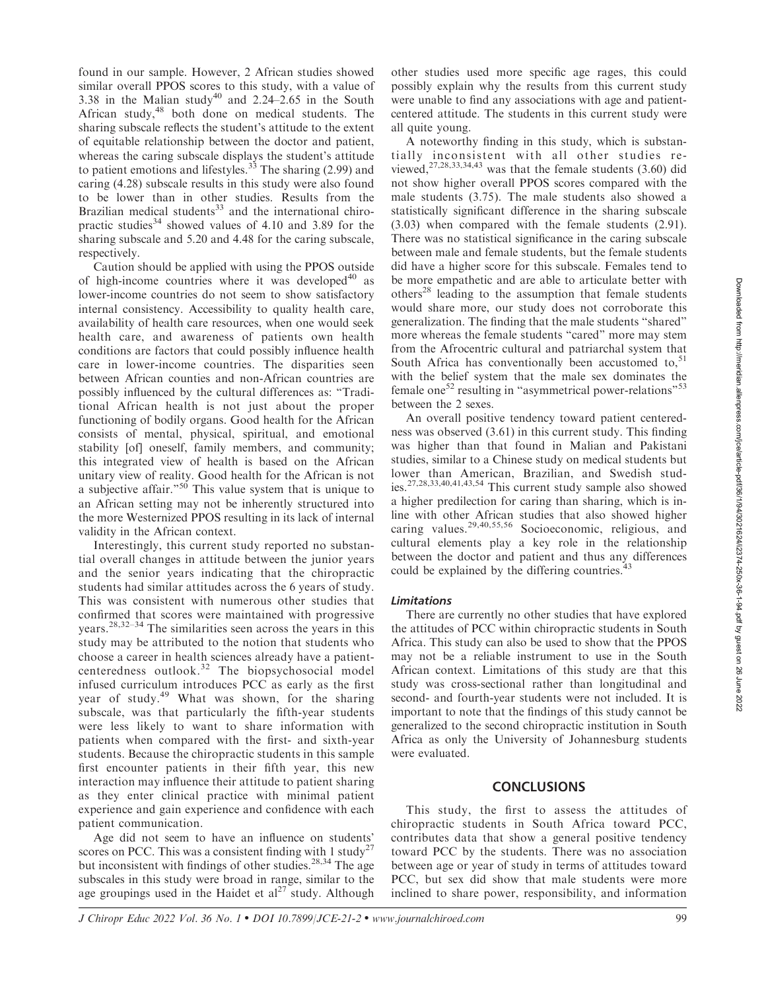found in our sample. However, 2 African studies showed similar overall PPOS scores to this study, with a value of 3.38 in the Malian study<sup>40</sup> and  $2.24-2.65$  in the South African study,<sup>48</sup> both done on medical students. The sharing subscale reflects the student's attitude to the extent of equitable relationship between the doctor and patient, whereas the caring subscale displays the student's attitude to patient emotions and lifestyles. $33$  The sharing (2.99) and caring (4.28) subscale results in this study were also found to be lower than in other studies. Results from the Brazilian medical students $33$  and the international chiropractic studies<sup>34</sup> showed values of 4.10 and 3.89 for the sharing subscale and 5.20 and 4.48 for the caring subscale, respectively.

Caution should be applied with using the PPOS outside of high-income countries where it was developed $40$  as lower-income countries do not seem to show satisfactory internal consistency. Accessibility to quality health care, availability of health care resources, when one would seek health care, and awareness of patients own health conditions are factors that could possibly influence health care in lower-income countries. The disparities seen between African counties and non-African countries are possibly influenced by the cultural differences as: ''Traditional African health is not just about the proper functioning of bodily organs. Good health for the African consists of mental, physical, spiritual, and emotional stability [of] oneself, family members, and community; this integrated view of health is based on the African unitary view of reality. Good health for the African is not a subjective affair."<sup>50</sup> This value system that is unique to an African setting may not be inherently structured into the more Westernized PPOS resulting in its lack of internal validity in the African context.

Interestingly, this current study reported no substantial overall changes in attitude between the junior years and the senior years indicating that the chiropractic students had similar attitudes across the 6 years of study. This was consistent with numerous other studies that confirmed that scores were maintained with progressive years.28,32–34 The similarities seen across the years in this study may be attributed to the notion that students who choose a career in health sciences already have a patientcenteredness outlook.<sup>32</sup> The biopsychosocial model infused curriculum introduces PCC as early as the first year of study.<sup>49</sup> What was shown, for the sharing subscale, was that particularly the fifth-year students were less likely to want to share information with patients when compared with the first- and sixth-year students. Because the chiropractic students in this sample first encounter patients in their fifth year, this new interaction may influence their attitude to patient sharing as they enter clinical practice with minimal patient experience and gain experience and confidence with each patient communication.

Age did not seem to have an influence on students' scores on PCC. This was a consistent finding with 1 study<sup>27</sup> but inconsistent with findings of other studies. $28,34$  The age subscales in this study were broad in range, similar to the age groupings used in the Haidet et  $al^{27}$  study. Although other studies used more specific age rages, this could possibly explain why the results from this current study were unable to find any associations with age and patientcentered attitude. The students in this current study were all quite young.

A noteworthy finding in this study, which is substantially inconsistent with all other studies reviewed, $27,28,33,34,43$  was that the female students (3.60) did not show higher overall PPOS scores compared with the male students (3.75). The male students also showed a statistically significant difference in the sharing subscale (3.03) when compared with the female students (2.91). There was no statistical significance in the caring subscale between male and female students, but the female students did have a higher score for this subscale. Females tend to be more empathetic and are able to articulate better with others<sup>28</sup> leading to the assumption that female students would share more, our study does not corroborate this generalization. The finding that the male students ''shared'' more whereas the female students "cared" more may stem from the Afrocentric cultural and patriarchal system that South Africa has conventionally been accustomed to, $51$ with the belief system that the male sex dominates the female one<sup>52</sup> resulting in "asymmetrical power-relations"<sup>53</sup> between the 2 sexes.

An overall positive tendency toward patient centeredness was observed (3.61) in this current study. This finding was higher than that found in Malian and Pakistani studies, similar to a Chinese study on medical students but lower than American, Brazilian, and Swedish studies.27,28,33,40,41,43,54 This current study sample also showed a higher predilection for caring than sharing, which is inline with other African studies that also showed higher caring values.29,40,55,56 Socioeconomic, religious, and cultural elements play a key role in the relationship between the doctor and patient and thus any differences could be explained by the differing countries.<sup>4</sup>

#### Limitations

There are currently no other studies that have explored the attitudes of PCC within chiropractic students in South Africa. This study can also be used to show that the PPOS may not be a reliable instrument to use in the South African context. Limitations of this study are that this study was cross-sectional rather than longitudinal and second- and fourth-year students were not included. It is important to note that the findings of this study cannot be generalized to the second chiropractic institution in South Africa as only the University of Johannesburg students were evaluated.

#### **CONCLUSIONS**

This study, the first to assess the attitudes of chiropractic students in South Africa toward PCC, contributes data that show a general positive tendency toward PCC by the students. There was no association between age or year of study in terms of attitudes toward PCC, but sex did show that male students were more inclined to share power, responsibility, and information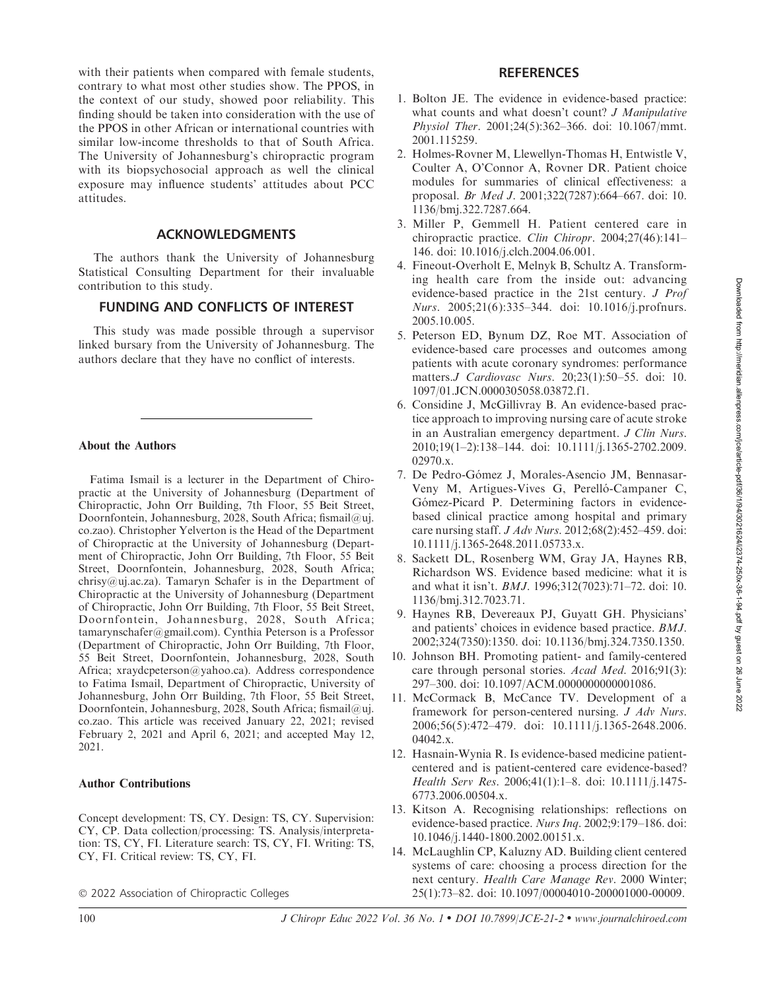with their patients when compared with female students, contrary to what most other studies show. The PPOS, in the context of our study, showed poor reliability. This finding should be taken into consideration with the use of the PPOS in other African or international countries with similar low-income thresholds to that of South Africa. The University of Johannesburg's chiropractic program with its biopsychosocial approach as well the clinical exposure may influence students' attitudes about PCC attitudes.

# ACKNOWLEDGMENTS

The authors thank the University of Johannesburg Statistical Consulting Department for their invaluable contribution to this study.

# FUNDING AND CONFLICTS OF INTEREST

This study was made possible through a supervisor linked bursary from the University of Johannesburg. The authors declare that they have no conflict of interests.

# About the Authors

Fatima Ismail is a lecturer in the Department of Chiropractic at the University of Johannesburg (Department of Chiropractic, John Orr Building, 7th Floor, 55 Beit Street, Doornfontein, Johannesburg, 2028, South Africa; fismail@uj. co.zao). Christopher Yelverton is the Head of the Department of Chiropractic at the University of Johannesburg (Department of Chiropractic, John Orr Building, 7th Floor, 55 Beit Street, Doornfontein, Johannesburg, 2028, South Africa; chrisy@uj.ac.za). Tamaryn Schafer is in the Department of Chiropractic at the University of Johannesburg (Department of Chiropractic, John Orr Building, 7th Floor, 55 Beit Street, Doornfontein, Johannesburg, 2028, South Africa; tamarynschafer@gmail.com). Cynthia Peterson is a Professor (Department of Chiropractic, John Orr Building, 7th Floor, 55 Beit Street, Doornfontein, Johannesburg, 2028, South Africa; xraydcpeterson@yahoo.ca). Address correspondence to Fatima Ismail, Department of Chiropractic, University of Johannesburg, John Orr Building, 7th Floor, 55 Beit Street, Doornfontein, Johannesburg, 2028, South Africa; fismail@uj. co.zao. This article was received January 22, 2021; revised February 2, 2021 and April 6, 2021; and accepted May 12, 2021.

# Author Contributions

Concept development: TS, CY. Design: TS, CY. Supervision: CY, CP. Data collection/processing: TS. Analysis/interpretation: TS, CY, FI. Literature search: TS, CY, FI. Writing: TS, CY, FI. Critical review: TS, CY, FI.

- 2022 Association of Chiropractic Colleges

#### **REFERENCES**

- 1. Bolton JE. The evidence in evidence-based practice: what counts and what doesn't count? *J Manipulative* Physiol Ther. 2001;24(5):362–366. doi: 10.1067/mmt. 2001.115259.
- 2. Holmes-Rovner M, Llewellyn-Thomas H, Entwistle V, Coulter A, O'Connor A, Rovner DR. Patient choice modules for summaries of clinical effectiveness: a proposal. Br Med J. 2001;322(7287):664–667. doi: 10. 1136/bmj.322.7287.664.
- 3. Miller P, Gemmell H. Patient centered care in chiropractic practice. Clin Chiropr. 2004;27(46):141– 146. doi: 10.1016/j.clch.2004.06.001.
- 4. Fineout-Overholt E, Melnyk B, Schultz A. Transforming health care from the inside out: advancing evidence-based practice in the 21st century. J Prof Nurs. 2005;21(6):335–344. doi: 10.1016/j.profnurs. 2005.10.005.
- 5. Peterson ED, Bynum DZ, Roe MT. Association of evidence-based care processes and outcomes among patients with acute coronary syndromes: performance matters.J Cardiovasc Nurs. 20;23(1):50–55. doi: 10. 1097/01.JCN.0000305058.03872.f1.
- 6. Considine J, McGillivray B. An evidence-based practice approach to improving nursing care of acute stroke in an Australian emergency department. J Clin Nurs. 2010;19(1–2):138–144. doi: 10.1111/j.1365-2702.2009. 02970.x.
- 7. De Pedro-Go´mez J, Morales-Asencio JM, Bennasar-Veny M, Artigues-Vives G, Perelló-Campaner C, Gómez-Picard P. Determining factors in evidencebased clinical practice among hospital and primary care nursing staff. J Adv Nurs. 2012;68(2):452–459. doi: 10.1111/j.1365-2648.2011.05733.x.
- 8. Sackett DL, Rosenberg WM, Gray JA, Haynes RB, Richardson WS. Evidence based medicine: what it is and what it isn't. BMJ. 1996;312(7023):71–72. doi: 10. 1136/bmj.312.7023.71.
- 9. Haynes RB, Devereaux PJ, Guyatt GH. Physicians' and patients' choices in evidence based practice. BMJ. 2002;324(7350):1350. doi: 10.1136/bmj.324.7350.1350.
- 10. Johnson BH. Promoting patient- and family-centered care through personal stories. Acad Med. 2016;91(3): 297–300. doi: 10.1097/ACM.0000000000001086.
- 11. McCormack B, McCance TV. Development of a framework for person-centered nursing. J Adv Nurs. 2006;56(5):472–479. doi: 10.1111/j.1365-2648.2006. 04042.x.
- 12. Hasnain-Wynia R. Is evidence-based medicine patientcentered and is patient-centered care evidence-based? Health Serv Res. 2006;41(1):1–8. doi: 10.1111/j.1475- 6773.2006.00504.x.
- 13. Kitson A. Recognising relationships: reflections on evidence-based practice. Nurs Inq. 2002;9:179–186. doi: 10.1046/j.1440-1800.2002.00151.x.
- 14. McLaughlin CP, Kaluzny AD. Building client centered systems of care: choosing a process direction for the next century. Health Care Manage Rev. 2000 Winter; 25(1):73–82. doi: 10.1097/00004010-200001000-00009.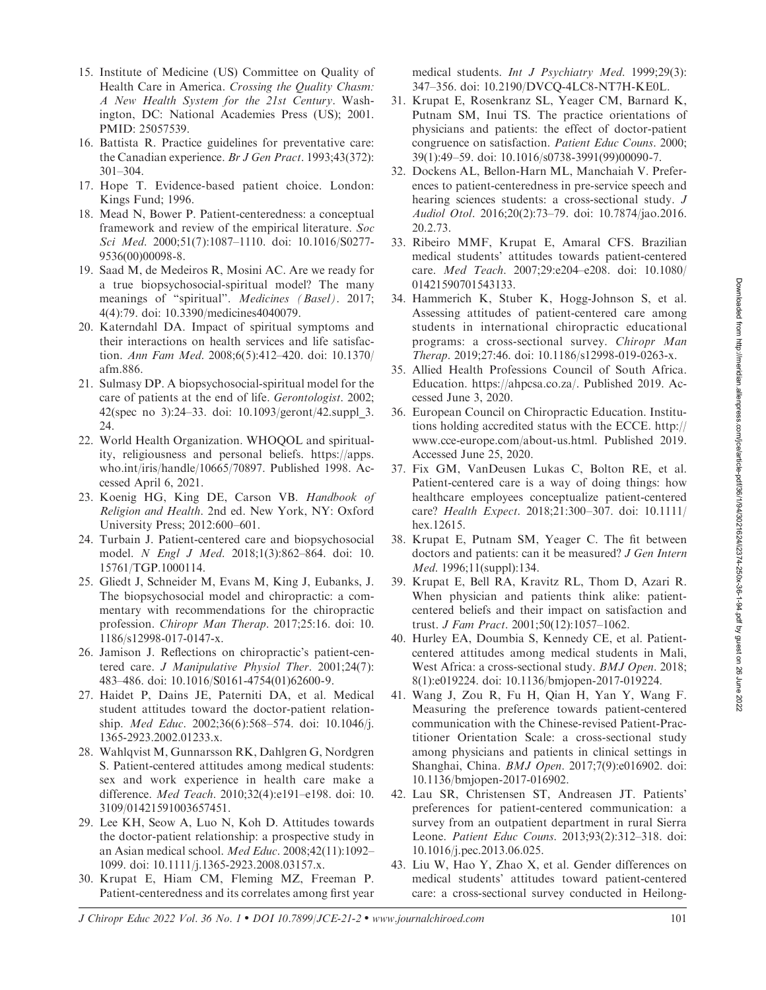- 15. Institute of Medicine (US) Committee on Quality of Health Care in America. Crossing the Quality Chasm: A New Health System for the 21st Century. Washington, DC: National Academies Press (US); 2001. PMID: 25057539.
- 16. Battista R. Practice guidelines for preventative care: the Canadian experience. Br J Gen Pract. 1993;43(372): 301–304.
- 17. Hope T. Evidence-based patient choice. London: Kings Fund; 1996.
- 18. Mead N, Bower P. Patient-centeredness: a conceptual framework and review of the empirical literature. Soc Sci Med. 2000;51(7):1087–1110. doi: 10.1016/S0277- 9536(00)00098-8.
- 19. Saad M, de Medeiros R, Mosini AC. Are we ready for a true biopsychosocial-spiritual model? The many meanings of "spiritual". Medicines (Basel). 2017; 4(4):79. doi: 10.3390/medicines4040079.
- 20. Katerndahl DA. Impact of spiritual symptoms and their interactions on health services and life satisfaction. Ann Fam Med. 2008;6(5):412–420. doi: 10.1370/ afm.886.
- 21. Sulmasy DP. A biopsychosocial-spiritual model for the care of patients at the end of life. Gerontologist. 2002; 42(spec no 3):24–33. doi: 10.1093/geront/42.suppl\_3. 24.
- 22. World Health Organization. WHOQOL and spirituality, religiousness and personal beliefs. https://apps. who.int/iris/handle/10665/70897. Published 1998. Accessed April 6, 2021.
- 23. Koenig HG, King DE, Carson VB. Handbook of Religion and Health. 2nd ed. New York, NY: Oxford University Press; 2012:600–601.
- 24. Turbain J. Patient-centered care and biopsychosocial model. N Engl J Med. 2018;1(3):862–864. doi: 10. 15761/TGP.1000114.
- 25. Gliedt J, Schneider M, Evans M, King J, Eubanks, J. The biopsychosocial model and chiropractic: a commentary with recommendations for the chiropractic profession. Chiropr Man Therap. 2017;25:16. doi: 10. 1186/s12998-017-0147-x.
- 26. Jamison J. Reflections on chiropractic's patient-centered care. J Manipulative Physiol Ther. 2001;24(7): 483–486. doi: 10.1016/S0161-4754(01)62600-9.
- 27. Haidet P, Dains JE, Paterniti DA, et al. Medical student attitudes toward the doctor-patient relationship. Med Educ. 2002;36(6):568–574. doi: 10.1046/j. 1365-2923.2002.01233.x.
- 28. Wahlqvist M, Gunnarsson RK, Dahlgren G, Nordgren S. Patient-centered attitudes among medical students: sex and work experience in health care make a difference. Med Teach. 2010;32(4):e191–e198. doi: 10. 3109/01421591003657451.
- 29. Lee KH, Seow A, Luo N, Koh D. Attitudes towards the doctor-patient relationship: a prospective study in an Asian medical school. Med Educ. 2008;42(11):1092– 1099. doi: 10.1111/j.1365-2923.2008.03157.x.
- 30. Krupat E, Hiam CM, Fleming MZ, Freeman P. Patient-centeredness and its correlates among first year

medical students. Int J Psychiatry Med. 1999;29(3): 347–356. doi: 10.2190/DVCQ-4LC8-NT7H-KE0L.

- 31. Krupat E, Rosenkranz SL, Yeager CM, Barnard K, Putnam SM, Inui TS. The practice orientations of physicians and patients: the effect of doctor-patient congruence on satisfaction. Patient Educ Couns. 2000; 39(1):49–59. doi: 10.1016/s0738-3991(99)00090-7.
- 32. Dockens AL, Bellon-Harn ML, Manchaiah V. Preferences to patient-centeredness in pre-service speech and hearing sciences students: a cross-sectional study. J Audiol Otol. 2016;20(2):73–79. doi: 10.7874/jao.2016. 20.2.73.
- 33. Ribeiro MMF, Krupat E, Amaral CFS. Brazilian medical students' attitudes towards patient-centered care. Med Teach. 2007;29:e204–e208. doi: 10.1080/ 01421590701543133.
- 34. Hammerich K, Stuber K, Hogg-Johnson S, et al. Assessing attitudes of patient-centered care among students in international chiropractic educational programs: a cross-sectional survey. Chiropr Man Therap. 2019;27:46. doi: 10.1186/s12998-019-0263-x.
- 35. Allied Health Professions Council of South Africa. Education. https://ahpcsa.co.za/. Published 2019. Accessed June 3, 2020.
- 36. European Council on Chiropractic Education. Institutions holding accredited status with the ECCE. http:// www.cce-europe.com/about-us.html. Published 2019. Accessed June 25, 2020.
- 37. Fix GM, VanDeusen Lukas C, Bolton RE, et al. Patient-centered care is a way of doing things: how healthcare employees conceptualize patient-centered care? Health Expect. 2018;21:300–307. doi: 10.1111/ hex.12615.
- 38. Krupat E, Putnam SM, Yeager C. The fit between doctors and patients: can it be measured? J Gen Intern Med. 1996;11(suppl):134.
- 39. Krupat E, Bell RA, Kravitz RL, Thom D, Azari R. When physician and patients think alike: patientcentered beliefs and their impact on satisfaction and trust. J Fam Pract. 2001;50(12):1057–1062.
- 40. Hurley EA, Doumbia S, Kennedy CE, et al. Patientcentered attitudes among medical students in Mali, West Africa: a cross-sectional study. BMJ Open. 2018; 8(1):e019224. doi: 10.1136/bmjopen-2017-019224.
- 41. Wang J, Zou R, Fu H, Qian H, Yan Y, Wang F. Measuring the preference towards patient-centered communication with the Chinese-revised Patient-Practitioner Orientation Scale: a cross-sectional study among physicians and patients in clinical settings in Shanghai, China. BMJ Open. 2017;7(9):e016902. doi: 10.1136/bmjopen-2017-016902.
- 42. Lau SR, Christensen ST, Andreasen JT. Patients' preferences for patient-centered communication: a survey from an outpatient department in rural Sierra Leone. Patient Educ Couns. 2013;93(2):312–318. doi: 10.1016/j.pec.2013.06.025.
- 43. Liu W, Hao Y, Zhao X, et al. Gender differences on medical students' attitudes toward patient-centered care: a cross-sectional survey conducted in Heilong-

J Chiropr Educ 2022 Vol. 36 No. 1 • DOI 10.7899/JCE-21-2 • www.journalchiroed.com 101